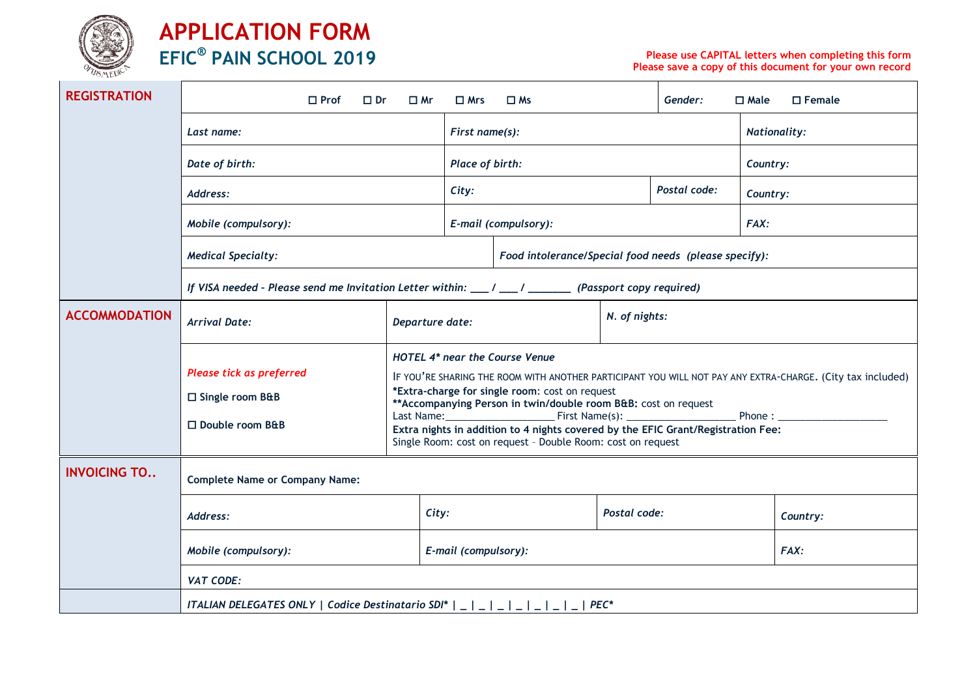

| <b>REGISTRATION</b>  | $\Box$ Prof<br>$\square$ Dr                                                                                | $\square$ Mr                                                                                                                                                                                                                                                                                                                                                                                                                                                                                                                                                                                                                                                  | $\Box$ Mrs                                            | $\Box$ Ms            |               | Gender:             | $\Box$ Female<br>$\Box$ Male |          |  |  |  |
|----------------------|------------------------------------------------------------------------------------------------------------|---------------------------------------------------------------------------------------------------------------------------------------------------------------------------------------------------------------------------------------------------------------------------------------------------------------------------------------------------------------------------------------------------------------------------------------------------------------------------------------------------------------------------------------------------------------------------------------------------------------------------------------------------------------|-------------------------------------------------------|----------------------|---------------|---------------------|------------------------------|----------|--|--|--|
|                      | Last name:                                                                                                 | First name(s):                                                                                                                                                                                                                                                                                                                                                                                                                                                                                                                                                                                                                                                |                                                       |                      |               | <b>Nationality:</b> |                              |          |  |  |  |
|                      | Date of birth:                                                                                             | Place of birth:                                                                                                                                                                                                                                                                                                                                                                                                                                                                                                                                                                                                                                               |                                                       |                      |               |                     | Country:                     |          |  |  |  |
|                      | Address:                                                                                                   | City:                                                                                                                                                                                                                                                                                                                                                                                                                                                                                                                                                                                                                                                         |                                                       |                      | Postal code:  | Country:            |                              |          |  |  |  |
|                      | Mobile (compulsory):                                                                                       | E-mail (compulsory):                                                                                                                                                                                                                                                                                                                                                                                                                                                                                                                                                                                                                                          |                                                       |                      |               | FAX:                |                              |          |  |  |  |
|                      | <b>Medical Specialty:</b>                                                                                  |                                                                                                                                                                                                                                                                                                                                                                                                                                                                                                                                                                                                                                                               | Food intolerance/Special food needs (please specify): |                      |               |                     |                              |          |  |  |  |
|                      | If VISA needed - Please send me Invitation Letter within: $\mu$ / $\mu$ / $\mu$ / (Passport copy required) |                                                                                                                                                                                                                                                                                                                                                                                                                                                                                                                                                                                                                                                               |                                                       |                      |               |                     |                              |          |  |  |  |
| <b>ACCOMMODATION</b> | <b>Arrival Date:</b>                                                                                       | Departure date:                                                                                                                                                                                                                                                                                                                                                                                                                                                                                                                                                                                                                                               |                                                       |                      | N. of nights: |                     |                              |          |  |  |  |
|                      | Please tick as preferred<br>□ Single room B&B<br>□ Double room B&B                                         | <b>HOTEL 4* near the Course Venue</b><br>IF YOU'RE SHARING THE ROOM WITH ANOTHER PARTICIPANT YOU WILL NOT PAY ANY EXTRA-CHARGE. (City tax included)<br>*Extra-charge for single room: cost on request<br>** Accompanying Person in twin/double room B&B: cost on request<br>Phone: The contract of the contract of the contract of the contract of the contract of the contract of the contract of the contract of the contract of the contract of the contract of the contract of the contract of the con<br>Extra nights in addition to 4 nights covered by the EFIC Grant/Registration Fee:<br>Single Room: cost on request - Double Room: cost on request |                                                       |                      |               |                     |                              |          |  |  |  |
| <b>INVOICING TO</b>  | <b>Complete Name or Company Name:</b>                                                                      |                                                                                                                                                                                                                                                                                                                                                                                                                                                                                                                                                                                                                                                               |                                                       |                      |               |                     |                              |          |  |  |  |
|                      | Address:                                                                                                   |                                                                                                                                                                                                                                                                                                                                                                                                                                                                                                                                                                                                                                                               | City:                                                 | Postal code:         |               |                     |                              | Country: |  |  |  |
|                      | Mobile (compulsory):                                                                                       |                                                                                                                                                                                                                                                                                                                                                                                                                                                                                                                                                                                                                                                               |                                                       | E-mail (compulsory): |               |                     | FAX:                         |          |  |  |  |
|                      | <b>VAT CODE:</b>                                                                                           |                                                                                                                                                                                                                                                                                                                                                                                                                                                                                                                                                                                                                                                               |                                                       |                      |               |                     |                              |          |  |  |  |
|                      |                                                                                                            |                                                                                                                                                                                                                                                                                                                                                                                                                                                                                                                                                                                                                                                               |                                                       |                      |               |                     |                              |          |  |  |  |